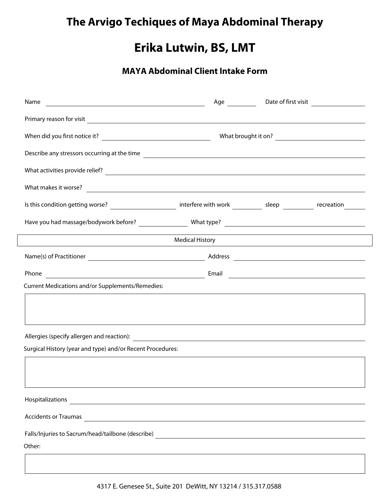## **The Arvigo Techiques of Maya Abdominal Therapy**

## **Erika Lutwin, BS, LMT**

## **MAYA Abdominal Client Intake Form**

| Name<br><u> 1980 - Johann Barn, mars ann an t-Amhain Aonaich an t-Aonaich an t-Aonaich ann an t-Aonaich ann an t-Aonaich</u>                                                                                                                                                                            | Age                                                                                                                   | Date of first visit |
|---------------------------------------------------------------------------------------------------------------------------------------------------------------------------------------------------------------------------------------------------------------------------------------------------------|-----------------------------------------------------------------------------------------------------------------------|---------------------|
|                                                                                                                                                                                                                                                                                                         |                                                                                                                       |                     |
|                                                                                                                                                                                                                                                                                                         |                                                                                                                       |                     |
|                                                                                                                                                                                                                                                                                                         |                                                                                                                       |                     |
|                                                                                                                                                                                                                                                                                                         |                                                                                                                       |                     |
| What makes it worse?                                                                                                                                                                                                                                                                                    |                                                                                                                       |                     |
|                                                                                                                                                                                                                                                                                                         |                                                                                                                       |                     |
|                                                                                                                                                                                                                                                                                                         |                                                                                                                       |                     |
|                                                                                                                                                                                                                                                                                                         | <b>Medical History</b>                                                                                                |                     |
|                                                                                                                                                                                                                                                                                                         |                                                                                                                       |                     |
|                                                                                                                                                                                                                                                                                                         |                                                                                                                       |                     |
| <b>Current Medications and/or Supplements/Remedies:</b>                                                                                                                                                                                                                                                 |                                                                                                                       |                     |
|                                                                                                                                                                                                                                                                                                         |                                                                                                                       |                     |
|                                                                                                                                                                                                                                                                                                         |                                                                                                                       |                     |
|                                                                                                                                                                                                                                                                                                         |                                                                                                                       |                     |
|                                                                                                                                                                                                                                                                                                         |                                                                                                                       |                     |
| Surgical History (year and type) and/or Recent Procedures:                                                                                                                                                                                                                                              |                                                                                                                       |                     |
|                                                                                                                                                                                                                                                                                                         |                                                                                                                       |                     |
|                                                                                                                                                                                                                                                                                                         |                                                                                                                       |                     |
|                                                                                                                                                                                                                                                                                                         |                                                                                                                       |                     |
|                                                                                                                                                                                                                                                                                                         |                                                                                                                       |                     |
|                                                                                                                                                                                                                                                                                                         | <u> 1989 - Johann Stoff, deutscher Stoffen und der Stoffen und der Stoffen und der Stoffen und der Stoffen und de</u> |                     |
|                                                                                                                                                                                                                                                                                                         |                                                                                                                       |                     |
| Hospitalizations<br>Accidents or Traumas experience and the contract of the contract of the contract of the contract of the contract of the contract of the contract of the contract of the contract of the contract of the contract of the contra<br>Falls/Injuries to Sacrum/head/tailbone (describe) |                                                                                                                       |                     |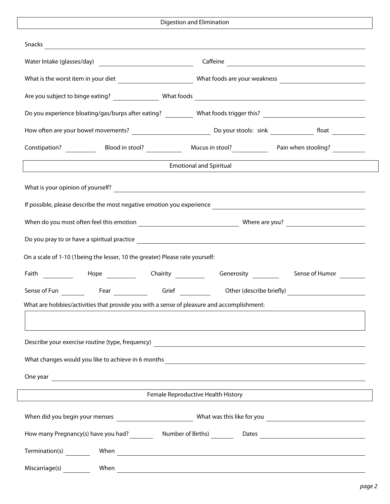|                                                                                                                                                                                                                                      | Digestion and Elimination          |                                                                                  |
|--------------------------------------------------------------------------------------------------------------------------------------------------------------------------------------------------------------------------------------|------------------------------------|----------------------------------------------------------------------------------|
| Snacks <b>contract the contract of the contract of the contract of the contract of the contract of the contract of the contract of the contract of the contract of the contract of the contract of the contract of the contract </b> |                                    |                                                                                  |
|                                                                                                                                                                                                                                      |                                    |                                                                                  |
|                                                                                                                                                                                                                                      |                                    |                                                                                  |
|                                                                                                                                                                                                                                      |                                    |                                                                                  |
| Do you experience bloating/gas/burps after eating? ____________ What foods trigger this? _____________________________                                                                                                               |                                    |                                                                                  |
|                                                                                                                                                                                                                                      |                                    |                                                                                  |
|                                                                                                                                                                                                                                      |                                    |                                                                                  |
|                                                                                                                                                                                                                                      | <b>Emotional and Spiritual</b>     |                                                                                  |
|                                                                                                                                                                                                                                      |                                    |                                                                                  |
|                                                                                                                                                                                                                                      |                                    |                                                                                  |
|                                                                                                                                                                                                                                      |                                    |                                                                                  |
|                                                                                                                                                                                                                                      |                                    |                                                                                  |
|                                                                                                                                                                                                                                      |                                    |                                                                                  |
| On a scale of 1-10 (1being the lesser, 10 the greater) Please rate yourself:                                                                                                                                                         |                                    |                                                                                  |
|                                                                                                                                                                                                                                      |                                    |                                                                                  |
|                                                                                                                                                                                                                                      |                                    |                                                                                  |
| What are hobbies/activities that provide you with a sense of pleasure and accomplishment:                                                                                                                                            |                                    |                                                                                  |
|                                                                                                                                                                                                                                      |                                    | ,我们也不会有什么。""我们的人,我们也不会有什么?""我们的人,我们也不会有什么?""我们的人,我们也不会有什么?""我们的人,我们也不会有什么?""我们的人 |
| Describe your exercise routine (type, frequency) <b>Description of the control of the control of the control of the control of the control of the control of the control of the control of the control of the control of the con</b> |                                    |                                                                                  |
|                                                                                                                                                                                                                                      |                                    |                                                                                  |
| One year <b>example and the contract of the contract of the contract of the contract of the contract of the contract of the contract of the contract of the contract of the contract of the contract of the contract of the cont</b> |                                    |                                                                                  |
|                                                                                                                                                                                                                                      | Female Reproductive Health History |                                                                                  |
|                                                                                                                                                                                                                                      |                                    |                                                                                  |
|                                                                                                                                                                                                                                      |                                    |                                                                                  |
| How many Pregnancy(s) have you had? Number of Births) Number of Births 2011 11 2016 8                                                                                                                                                |                                    |                                                                                  |
|                                                                                                                                                                                                                                      |                                    |                                                                                  |
|                                                                                                                                                                                                                                      |                                    |                                                                                  |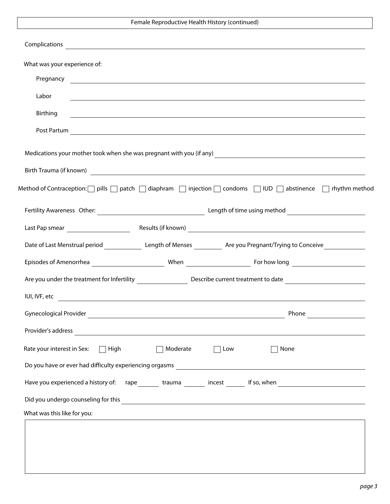| Female Reproductive Health History (continued) |  |  |  |  |  |
|------------------------------------------------|--|--|--|--|--|
|------------------------------------------------|--|--|--|--|--|

| Complications <u>and the complications</u> and the complications of the complications of the complications of the complications of the complications of the complication of the complication of the complication of the complicatio |                                                                                                                      |     |                                                                                                                                                                                                                                      |  |
|-------------------------------------------------------------------------------------------------------------------------------------------------------------------------------------------------------------------------------------|----------------------------------------------------------------------------------------------------------------------|-----|--------------------------------------------------------------------------------------------------------------------------------------------------------------------------------------------------------------------------------------|--|
| What was your experience of:                                                                                                                                                                                                        |                                                                                                                      |     |                                                                                                                                                                                                                                      |  |
| Pregnancy                                                                                                                                                                                                                           |                                                                                                                      |     | <u>some started and the started and the started and the started and the started and the started and the started and the started and the started and the started and the started and the started and the started and the started </u> |  |
| Labor                                                                                                                                                                                                                               |                                                                                                                      |     |                                                                                                                                                                                                                                      |  |
| Birthing                                                                                                                                                                                                                            |                                                                                                                      |     | <u> 1989 - Johann Stoff, deutscher Stoffen und der Stoffen und der Stoffen und der Stoffen und der Stoffen und der</u>                                                                                                               |  |
| Post Partum                                                                                                                                                                                                                         |                                                                                                                      |     |                                                                                                                                                                                                                                      |  |
| Medications your mother took when she was pregnant with you (if any)<br><u> and is not any contract and the manus and the subsetional set of the subsetional set of the subsetional set o</u>                                       |                                                                                                                      |     |                                                                                                                                                                                                                                      |  |
|                                                                                                                                                                                                                                     |                                                                                                                      |     |                                                                                                                                                                                                                                      |  |
| Method of Contraception: $\Box$ pills $\Box$ patch $\Box$ diaphram $\Box$ injection $\Box$ condoms $\Box$ IUD $\Box$ abstinence $\Box$ rhythm method                                                                                |                                                                                                                      |     |                                                                                                                                                                                                                                      |  |
|                                                                                                                                                                                                                                     |                                                                                                                      |     |                                                                                                                                                                                                                                      |  |
|                                                                                                                                                                                                                                     |                                                                                                                      |     |                                                                                                                                                                                                                                      |  |
|                                                                                                                                                                                                                                     |                                                                                                                      |     |                                                                                                                                                                                                                                      |  |
|                                                                                                                                                                                                                                     |                                                                                                                      |     |                                                                                                                                                                                                                                      |  |
|                                                                                                                                                                                                                                     |                                                                                                                      |     |                                                                                                                                                                                                                                      |  |
|                                                                                                                                                                                                                                     |                                                                                                                      |     |                                                                                                                                                                                                                                      |  |
| <b>Gynecological Provider</b>                                                                                                                                                                                                       |                                                                                                                      |     | Phone                                                                                                                                                                                                                                |  |
| Provider's address                                                                                                                                                                                                                  | <u> 1980 - Jan James James Barbara, político establecente de la propia de la propia de la propia de la propia de</u> |     |                                                                                                                                                                                                                                      |  |
| Rate your interest in Sex:<br>$\vert$ High                                                                                                                                                                                          | Moderate                                                                                                             | Low | None                                                                                                                                                                                                                                 |  |
|                                                                                                                                                                                                                                     |                                                                                                                      |     |                                                                                                                                                                                                                                      |  |
| Have you experienced a history of: rape ________ trauma _______ incest ______ If so, when ____________________                                                                                                                      |                                                                                                                      |     |                                                                                                                                                                                                                                      |  |
|                                                                                                                                                                                                                                     |                                                                                                                      |     |                                                                                                                                                                                                                                      |  |
|                                                                                                                                                                                                                                     |                                                                                                                      |     |                                                                                                                                                                                                                                      |  |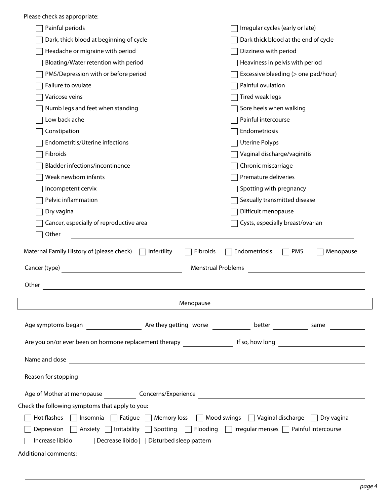Please check as appropriate:

I

| Painful periods                                                                                                                 | Irregular cycles (early or late)         |
|---------------------------------------------------------------------------------------------------------------------------------|------------------------------------------|
| Dark, thick blood at beginning of cycle                                                                                         | Dark thick blood at the end of cycle     |
| Headache or migraine with period                                                                                                | Dizziness with period                    |
| Bloating/Water retention with period                                                                                            | Heaviness in pelvis with period          |
| PMS/Depression with or before period                                                                                            | Excessive bleeding (> one pad/hour)      |
| Failure to ovulate                                                                                                              | Painful ovulation                        |
| Varicose veins                                                                                                                  | Tired weak legs                          |
| Numb legs and feet when standing                                                                                                | Sore heels when walking                  |
| Low back ache                                                                                                                   | Painful intercourse                      |
| Constipation                                                                                                                    | Endometriosis                            |
| Endometritis/Uterine infections                                                                                                 | <b>Uterine Polyps</b>                    |
| Fibroids                                                                                                                        | Vaginal discharge/vaginitis              |
| Bladder infections/incontinence                                                                                                 | Chronic miscarriage                      |
| Weak newborn infants                                                                                                            | Premature deliveries                     |
| Incompetent cervix                                                                                                              | Spotting with pregnancy                  |
| Pelvic inflammation                                                                                                             | Sexually transmitted disease             |
| Dry vagina                                                                                                                      | Difficult menopause                      |
| Cancer, especially of reproductive area                                                                                         | Cysts, especially breast/ovarian         |
| Other                                                                                                                           |                                          |
| Maternal Family History of (please check) $\Box$ Infertility<br>Fibroids<br><b>Menstrual Problems</b><br>Cancer (type)<br>Other | Endometriosis<br><b>PMS</b><br>Menopause |
| Menopause                                                                                                                       |                                          |
|                                                                                                                                 |                                          |
|                                                                                                                                 |                                          |
|                                                                                                                                 |                                          |
|                                                                                                                                 |                                          |
| Name and dose<br><u> 1989 - Andrea Stadt Britain, amerikansk politik (* 1958)</u>                                               |                                          |
|                                                                                                                                 |                                          |
|                                                                                                                                 |                                          |
| Check the following symptoms that apply to you:                                                                                 |                                          |
| Hot flashes   Insomnia   Fatigue   Memory loss   Mood swings   Vaginal discharge   Dry vagina                                   |                                          |
| Depression   Anxiety   Irritability   Spotting   Flooding   Irregular menses   Painful intercourse                              |                                          |
| Increase libido   Decrease libido   Disturbed sleep pattern                                                                     |                                          |
| Additional comments:                                                                                                            |                                          |